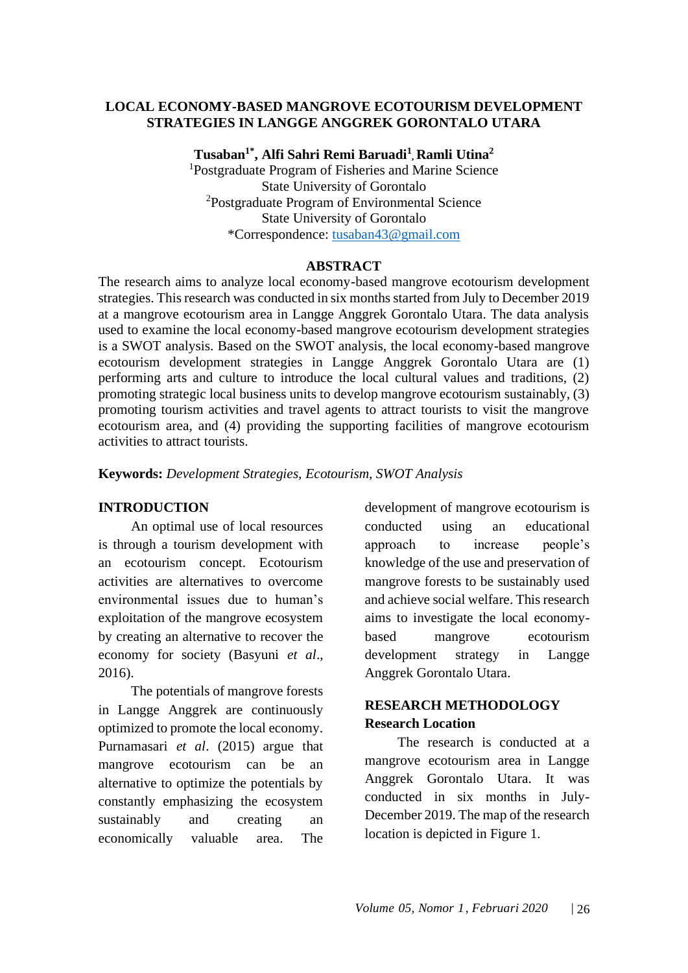## **LOCAL ECONOMY-BASED MANGROVE ECOTOURISM DEVELOPMENT STRATEGIES IN LANGGE ANGGREK GORONTALO UTARA**

**Tusaban1\*, Alfi Sahri Remi Baruadi<sup>1</sup> , Ramli Utina<sup>2</sup>** <sup>1</sup>Postgraduate Program of Fisheries and Marine Science State University of Gorontalo <sup>2</sup>Postgraduate Program of Environmental Science State University of Gorontalo \*Correspondence: [tusaban43@gmail.com](mailto:tusaban43@gmail.com)

#### **ABSTRACT**

The research aims to analyze local economy-based mangrove ecotourism development strategies. This research was conducted in six months started from July to December 2019 at a mangrove ecotourism area in Langge Anggrek Gorontalo Utara. The data analysis used to examine the local economy-based mangrove ecotourism development strategies is a SWOT analysis. Based on the SWOT analysis, the local economy-based mangrove ecotourism development strategies in Langge Anggrek Gorontalo Utara are (1) performing arts and culture to introduce the local cultural values and traditions, (2) promoting strategic local business units to develop mangrove ecotourism sustainably, (3) promoting tourism activities and travel agents to attract tourists to visit the mangrove ecotourism area, and (4) providing the supporting facilities of mangrove ecotourism activities to attract tourists.

**Keywords:** *Development Strategies, Ecotourism, SWOT Analysis*

#### **INTRODUCTION**

An optimal use of local resources is through a tourism development with an ecotourism concept. Ecotourism activities are alternatives to overcome environmental issues due to human's exploitation of the mangrove ecosystem by creating an alternative to recover the economy for society (Basyuni *et al*., 2016).

The potentials of mangrove forests in Langge Anggrek are continuously optimized to promote the local economy. Purnamasari *et al*. (2015) argue that mangrove ecotourism can be an alternative to optimize the potentials by constantly emphasizing the ecosystem sustainably and creating an economically valuable area. The development of mangrove ecotourism is conducted using an educational approach to increase people's knowledge of the use and preservation of mangrove forests to be sustainably used and achieve social welfare. This research aims to investigate the local economybased mangrove ecotourism development strategy in Langge Anggrek Gorontalo Utara.

# **RESEARCH METHODOLOGY Research Location**

The research is conducted at a mangrove ecotourism area in Langge Anggrek Gorontalo Utara. It was conducted in six months in July-December 2019. The map of the research location is depicted in Figure 1.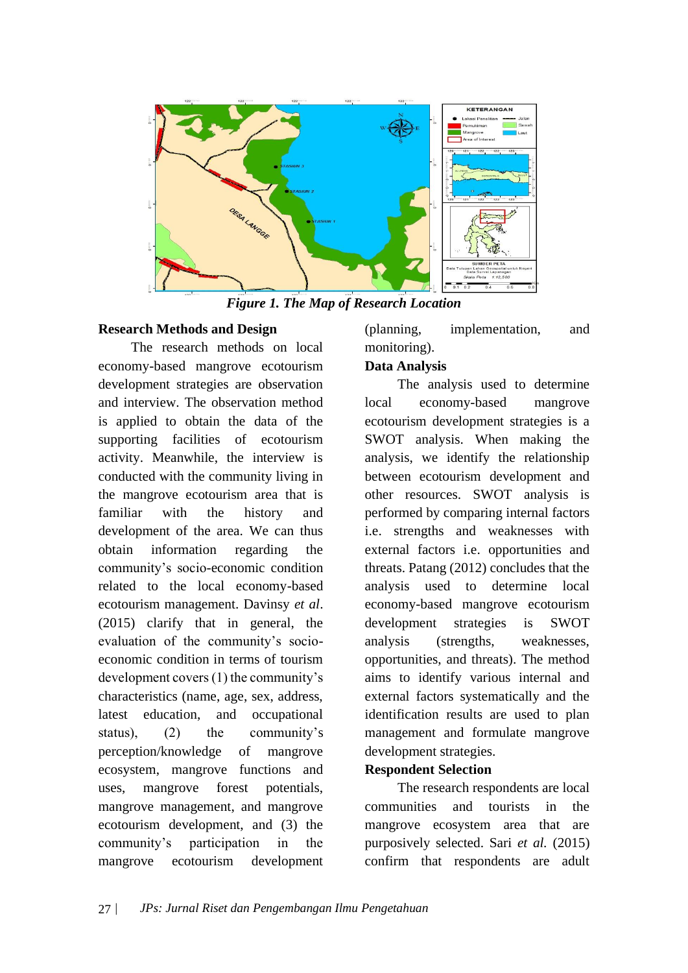

*Figure 1. The Map of Research Location*

#### **Research Methods and Design**

The research methods on local economy-based mangrove ecotourism development strategies are observation and interview. The observation method is applied to obtain the data of the supporting facilities of ecotourism activity. Meanwhile, the interview is conducted with the community living in the mangrove ecotourism area that is familiar with the history and development of the area. We can thus obtain information regarding the community's socio-economic condition related to the local economy-based ecotourism management. Davinsy *et al*. (2015) clarify that in general, the evaluation of the community's socioeconomic condition in terms of tourism development covers (1) the community's characteristics (name, age, sex, address, latest education, and occupational status), (2) the community's perception/knowledge of mangrove ecosystem, mangrove functions and uses, mangrove forest potentials, mangrove management, and mangrove ecotourism development, and (3) the community's participation in the mangrove ecotourism development

(planning, implementation, and monitoring).

## **Data Analysis**

The analysis used to determine local economy-based mangrove ecotourism development strategies is a SWOT analysis. When making the analysis, we identify the relationship between ecotourism development and other resources. SWOT analysis is performed by comparing internal factors i.e. strengths and weaknesses with external factors i.e. opportunities and threats. Patang (2012) concludes that the analysis used to determine local economy-based mangrove ecotourism development strategies is SWOT analysis (strengths, weaknesses, opportunities, and threats). The method aims to identify various internal and external factors systematically and the identification results are used to plan management and formulate mangrove development strategies.

# **Respondent Selection**

The research respondents are local communities and tourists in the mangrove ecosystem area that are purposively selected. Sari *et al.* (2015) confirm that respondents are adult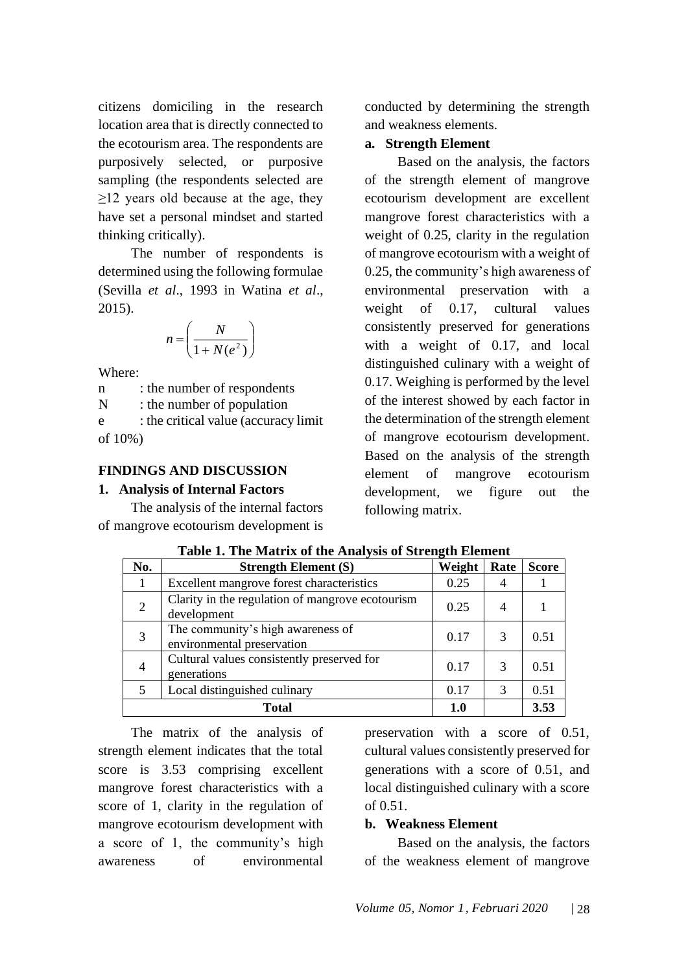citizens domiciling in the research location area that is directly connected to the ecotourism area. The respondents are purposively selected, or purposive sampling (the respondents selected are ≥12 years old because at the age, they have set a personal mindset and started thinking critically).

The number of respondents is determined using the following formulae (Sevilla *et al*., 1993 in Watina *et al*., 2015).

$$
n = \left(\frac{N}{1 + N(e^2)}\right)
$$

Where:

n : the number of respondents N : the number of population e : the critical value (accuracy limit of 10%)

## **FINDINGS AND DISCUSSION**

### **1. Analysis of Internal Factors**

The analysis of the internal factors of mangrove ecotourism development is conducted by determining the strength and weakness elements.

#### **a. Strength Element**

Based on the analysis, the factors of the strength element of mangrove ecotourism development are excellent mangrove forest characteristics with a weight of 0.25, clarity in the regulation of mangrove ecotourism with a weight of 0.25, the community's high awareness of environmental preservation with a weight of 0.17, cultural values consistently preserved for generations with a weight of 0.17, and local distinguished culinary with a weight of 0.17. Weighing is performed by the level of the interest showed by each factor in the determination of the strength element of mangrove ecotourism development. Based on the analysis of the strength element of mangrove ecotourism development, we figure out the following matrix.

| No.   | <b>Strength Element (S)</b>                                     | $\mathbf{\sigma}$<br>Weight | Rate | <b>Score</b> |
|-------|-----------------------------------------------------------------|-----------------------------|------|--------------|
|       | Excellent mangrove forest characteristics                       | 0.25                        | 4    |              |
| 2     | Clarity in the regulation of mangrove ecotourism<br>development | 0.25                        | 4    |              |
| 3     | The community's high awareness of<br>environmental preservation | 0.17                        | 3    | 0.51         |
| 4     | Cultural values consistently preserved for<br>generations       | 0.17                        | 3    | 0.51         |
|       | Local distinguished culinary                                    | 0.17                        | 3    | 0.51         |
| Total |                                                                 | 1.0                         |      | 3.53         |

|  | Table 1. The Matrix of the Analysis of Strength Element |
|--|---------------------------------------------------------|
|  |                                                         |

The matrix of the analysis of strength element indicates that the total score is 3.53 comprising excellent mangrove forest characteristics with a score of 1, clarity in the regulation of mangrove ecotourism development with a score of 1, the community's high awareness of environmental

preservation with a score of 0.51, cultural values consistently preserved for generations with a score of 0.51, and local distinguished culinary with a score of 0.51.

# **b. Weakness Element**

Based on the analysis, the factors of the weakness element of mangrove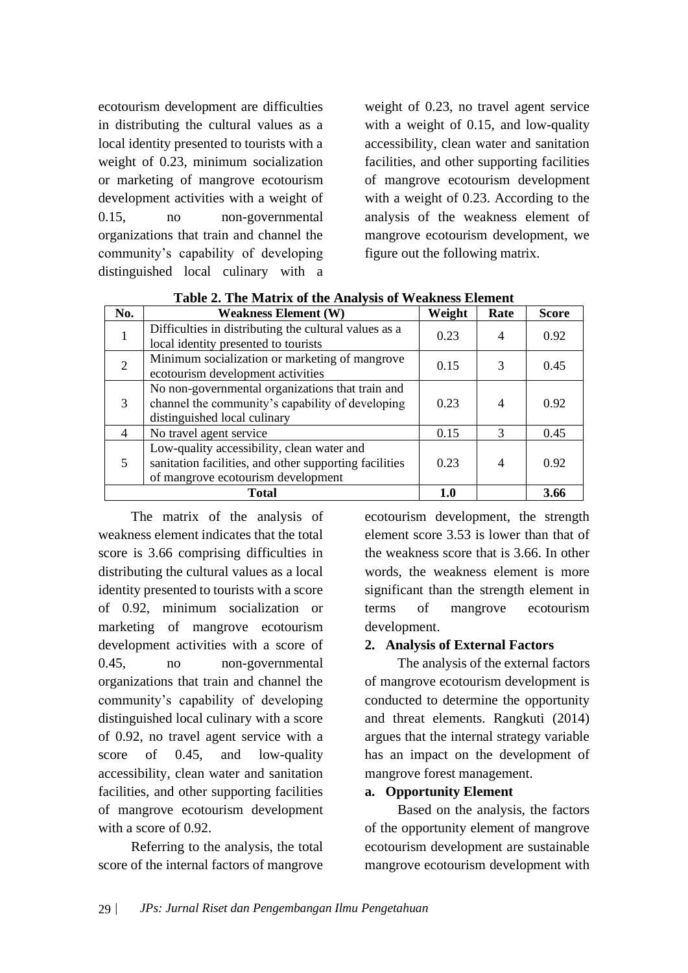ecotourism development are difficulties in distributing the cultural values as a local identity presented to tourists with a weight of 0.23, minimum socialization or marketing of mangrove ecotourism development activities with a weight of 0.15, no non-governmental organizations that train and channel the community's capability of developing distinguished local culinary with a weight of 0.23, no travel agent service with a weight of 0.15, and low-quality accessibility, clean water and sanitation facilities, and other supporting facilities of mangrove ecotourism development with a weight of 0.23. According to the analysis of the weakness element of mangrove ecotourism development, we figure out the following matrix.

| No.          | <b>Weakness Element (W)</b>                            | Weight | Rate | <b>Score</b> |
|--------------|--------------------------------------------------------|--------|------|--------------|
|              | Difficulties in distributing the cultural values as a  | 0.23   |      | 0.92         |
|              | local identity presented to tourists                   |        |      |              |
| 2            | Minimum socialization or marketing of mangrove         | 0.15   | 3    | 0.45         |
|              | ecotourism development activities                      |        |      |              |
| 3            | No non-governmental organizations that train and       |        |      |              |
|              | channel the community's capability of developing       | 0.23   |      | 0.92         |
|              | distinguished local culinary                           |        |      |              |
| 4            | No travel agent service                                | 0.15   | 3    | 0.45         |
|              | Low-quality accessibility, clean water and             |        |      |              |
|              | sanitation facilities, and other supporting facilities | 0.23   | 4    | 0.92         |
|              | of mangrove ecotourism development                     |        |      |              |
| <b>Total</b> |                                                        | 1.0    |      | 3.66         |

**Table 2. The Matrix of the Analysis of Weakness Element**

The matrix of the analysis of weakness element indicates that the total score is 3.66 comprising difficulties in distributing the cultural values as a local identity presented to tourists with a score of 0.92, minimum socialization or marketing of mangrove ecotourism development activities with a score of 0.45, no non-governmental organizations that train and channel the community's capability of developing distinguished local culinary with a score of 0.92, no travel agent service with a score of 0.45, and low-quality accessibility, clean water and sanitation facilities, and other supporting facilities of mangrove ecotourism development with a score of 0.92.

Referring to the analysis, the total score of the internal factors of mangrove ecotourism development, the strength element score 3.53 is lower than that of the weakness score that is 3.66. In other words, the weakness element is more significant than the strength element in terms of mangrove ecotourism development.

#### **2. Analysis of External Factors**

The analysis of the external factors of mangrove ecotourism development is conducted to determine the opportunity and threat elements. Rangkuti (2014) argues that the internal strategy variable has an impact on the development of mangrove forest management.

#### **a. Opportunity Element**

Based on the analysis, the factors of the opportunity element of mangrove ecotourism development are sustainable mangrove ecotourism development with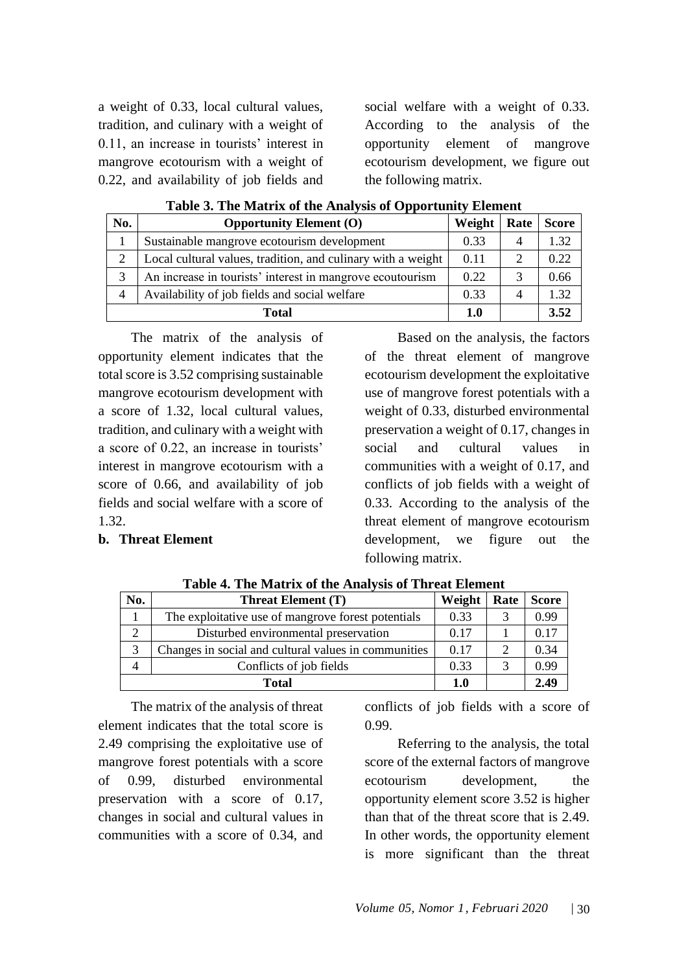a weight of 0.33, local cultural values, tradition, and culinary with a weight of 0.11, an increase in tourists' interest in mangrove ecotourism with a weight of 0.22, and availability of job fields and social welfare with a weight of 0.33. According to the analysis of the opportunity element of mangrove ecotourism development, we figure out the following matrix.

| No.            | <b>Opportunity Element (O)</b>                               | Weight | Rate | <b>Score</b> |
|----------------|--------------------------------------------------------------|--------|------|--------------|
|                | Sustainable mangrove ecotourism development                  | 0.33   | 4    | 1.32         |
| $\overline{2}$ | Local cultural values, tradition, and culinary with a weight | 0.11   |      | 0.22         |
| 3              | An increase in tourists' interest in mangrove ecoutourism    | 0.22   |      | 0.66         |
| 4              | Availability of job fields and social welfare                | 0.33   | 4    | 1.32         |
| Total          |                                                              | 1.0    |      | 3.52         |

**Table 3. The Matrix of the Analysis of Opportunity Element**

The matrix of the analysis of opportunity element indicates that the total score is 3.52 comprising sustainable mangrove ecotourism development with a score of 1.32, local cultural values, tradition, and culinary with a weight with a score of 0.22, an increase in tourists' interest in mangrove ecotourism with a score of 0.66, and availability of job fields and social welfare with a score of 1.32.

## **b. Threat Element**

Based on the analysis, the factors of the threat element of mangrove ecotourism development the exploitative use of mangrove forest potentials with a weight of 0.33, disturbed environmental preservation a weight of 0.17, changes in social and cultural values in communities with a weight of 0.17, and conflicts of job fields with a weight of 0.33. According to the analysis of the threat element of mangrove ecotourism development, we figure out the following matrix.

| No.           | <b>Threat Element (T)</b>                            | Weight | Rate | <b>Score</b> |
|---------------|------------------------------------------------------|--------|------|--------------|
|               | The exploitative use of mangrove forest potentials   | 0.33   | 3    | 0.99         |
| $\mathcal{D}$ | Disturbed environmental preservation                 | 0.17   |      | 0.17         |
| 3             | Changes in social and cultural values in communities | 0.17   | 2    | 0.34         |
|               | Conflicts of job fields                              | 0.33   |      | 0.99         |
| <b>Total</b>  |                                                      | 1.0    |      | 2.49         |

**Table 4. The Matrix of the Analysis of Threat Element**

The matrix of the analysis of threat element indicates that the total score is 2.49 comprising the exploitative use of mangrove forest potentials with a score of 0.99, disturbed environmental preservation with a score of 0.17, changes in social and cultural values in communities with a score of 0.34, and

conflicts of job fields with a score of 0.99.

Referring to the analysis, the total score of the external factors of mangrove ecotourism development, the opportunity element score 3.52 is higher than that of the threat score that is 2.49. In other words, the opportunity element is more significant than the threat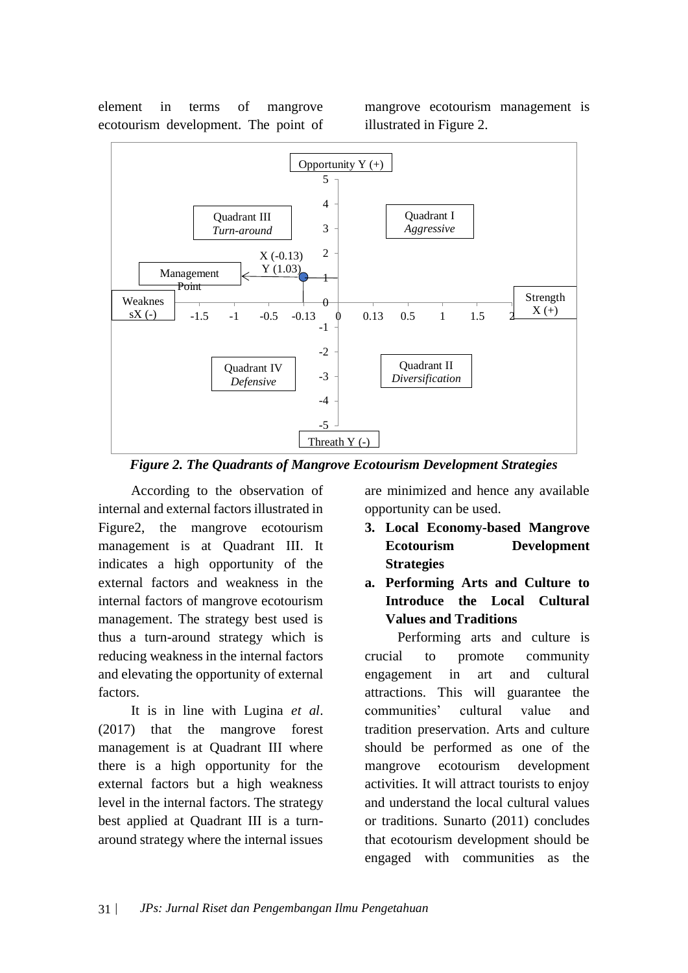element in terms of mangrove ecotourism development. The point of mangrove ecotourism management is illustrated in Figure 2.



*Figure 2. The Quadrants of Mangrove Ecotourism Development Strategies*

According to the observation of internal and external factors illustrated in Figure2, the mangrove ecotourism management is at Quadrant III. It indicates a high opportunity of the external factors and weakness in the internal factors of mangrove ecotourism management. The strategy best used is thus a turn-around strategy which is reducing weakness in the internal factors and elevating the opportunity of external factors.

It is in line with Lugina *et al*. (2017) that the mangrove forest management is at Quadrant III where there is a high opportunity for the external factors but a high weakness level in the internal factors. The strategy best applied at Quadrant III is a turnaround strategy where the internal issues

are minimized and hence any available opportunity can be used.

- **3. Local Economy-based Mangrove Ecotourism Development Strategies**
- **a. Performing Arts and Culture to Introduce the Local Cultural Values and Traditions**

Performing arts and culture is crucial to promote community engagement in art and cultural attractions. This will guarantee the communities' cultural value and tradition preservation. Arts and culture should be performed as one of the mangrove ecotourism development activities. It will attract tourists to enjoy and understand the local cultural values or traditions. Sunarto (2011) concludes that ecotourism development should be engaged with communities as the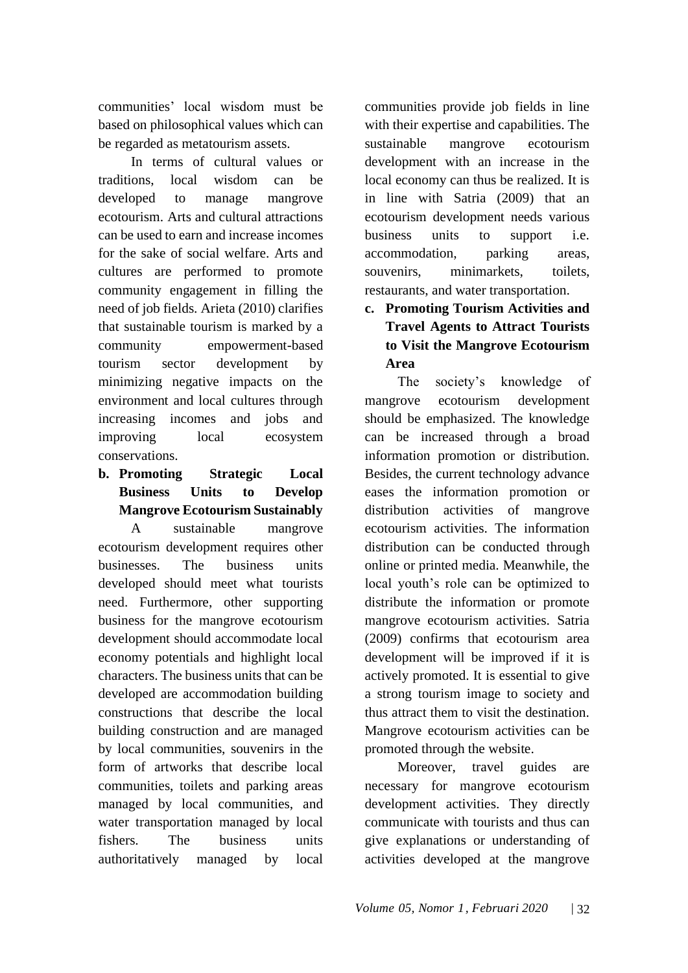communities' local wisdom must be based on philosophical values which can be regarded as metatourism assets.

In terms of cultural values or traditions, local wisdom can be developed to manage mangrove ecotourism. Arts and cultural attractions can be used to earn and increase incomes for the sake of social welfare. Arts and cultures are performed to promote community engagement in filling the need of job fields. Arieta (2010) clarifies that sustainable tourism is marked by a community empowerment-based tourism sector development by minimizing negative impacts on the environment and local cultures through increasing incomes and jobs and improving local ecosystem conservations.

**b. Promoting Strategic Local Business Units to Develop Mangrove Ecotourism Sustainably**

A sustainable mangrove ecotourism development requires other businesses. The business units developed should meet what tourists need. Furthermore, other supporting business for the mangrove ecotourism development should accommodate local economy potentials and highlight local characters. The business units that can be developed are accommodation building constructions that describe the local building construction and are managed by local communities, souvenirs in the form of artworks that describe local communities, toilets and parking areas managed by local communities, and water transportation managed by local fishers. The business units authoritatively managed by local

communities provide job fields in line with their expertise and capabilities. The sustainable mangrove ecotourism development with an increase in the local economy can thus be realized. It is in line with Satria (2009) that an ecotourism development needs various business units to support i.e. accommodation, parking areas, souvenirs, minimarkets, toilets, restaurants, and water transportation.

# **c. Promoting Tourism Activities and Travel Agents to Attract Tourists to Visit the Mangrove Ecotourism Area**

The society's knowledge of mangrove ecotourism development should be emphasized. The knowledge can be increased through a broad information promotion or distribution. Besides, the current technology advance eases the information promotion or distribution activities of mangrove ecotourism activities. The information distribution can be conducted through online or printed media. Meanwhile, the local youth's role can be optimized to distribute the information or promote mangrove ecotourism activities. Satria (2009) confirms that ecotourism area development will be improved if it is actively promoted. It is essential to give a strong tourism image to society and thus attract them to visit the destination. Mangrove ecotourism activities can be promoted through the website.

Moreover, travel guides are necessary for mangrove ecotourism development activities. They directly communicate with tourists and thus can give explanations or understanding of activities developed at the mangrove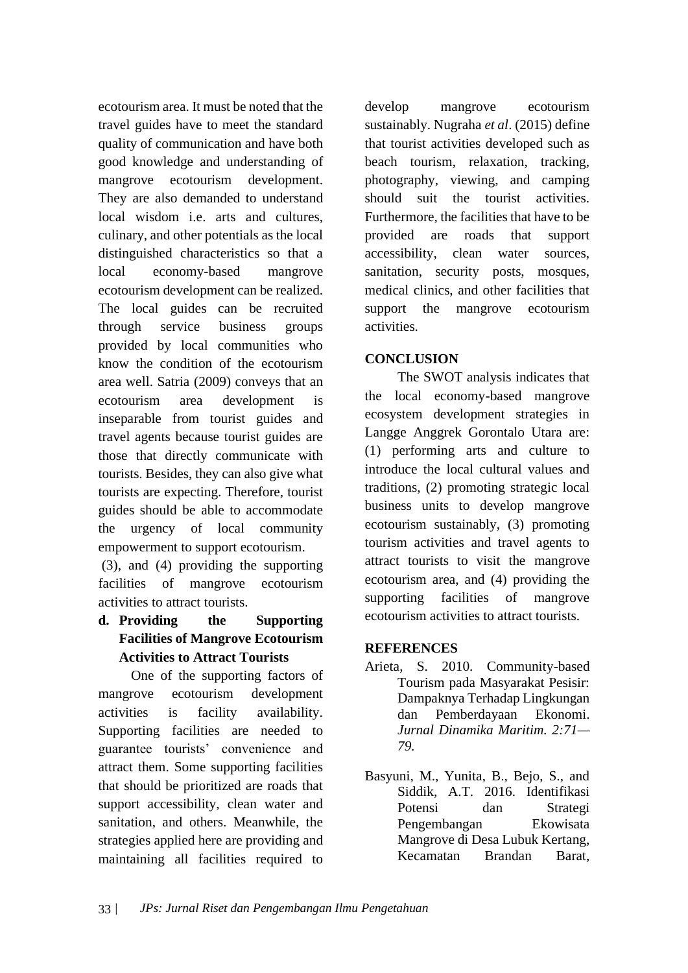ecotourism area. It must be noted that the travel guides have to meet the standard quality of communication and have both good knowledge and understanding of mangrove ecotourism development. They are also demanded to understand local wisdom i.e. arts and cultures, culinary, and other potentials as the local distinguished characteristics so that a local economy-based mangrove ecotourism development can be realized. The local guides can be recruited through service business groups provided by local communities who know the condition of the ecotourism area well. Satria (2009) conveys that an ecotourism area development is inseparable from tourist guides and travel agents because tourist guides are those that directly communicate with tourists. Besides, they can also give what tourists are expecting. Therefore, tourist guides should be able to accommodate the urgency of local community empowerment to support ecotourism.

(3), and (4) providing the supporting facilities of mangrove ecotourism activities to attract tourists.

# **d. Providing the Supporting Facilities of Mangrove Ecotourism Activities to Attract Tourists**

One of the supporting factors of mangrove ecotourism development activities is facility availability. Supporting facilities are needed to guarantee tourists' convenience and attract them. Some supporting facilities that should be prioritized are roads that support accessibility, clean water and sanitation, and others. Meanwhile, the strategies applied here are providing and maintaining all facilities required to

develop mangrove ecotourism sustainably. Nugraha *et al*. (2015) define that tourist activities developed such as beach tourism, relaxation, tracking, photography, viewing, and camping should suit the tourist activities. Furthermore, the facilities that have to be provided are roads that support accessibility, clean water sources, sanitation, security posts, mosques, medical clinics, and other facilities that support the mangrove ecotourism activities.

# **CONCLUSION**

The SWOT analysis indicates that the local economy-based mangrove ecosystem development strategies in Langge Anggrek Gorontalo Utara are: (1) performing arts and culture to introduce the local cultural values and traditions, (2) promoting strategic local business units to develop mangrove ecotourism sustainably, (3) promoting tourism activities and travel agents to attract tourists to visit the mangrove ecotourism area, and (4) providing the supporting facilities of mangrove ecotourism activities to attract tourists.

# **REFERENCES**

- Arieta, S. 2010. Community-based Tourism pada Masyarakat Pesisir: Dampaknya Terhadap Lingkungan dan Pemberdayaan Ekonomi. *Jurnal Dinamika Maritim. 2:71— 79.*
- Basyuni, M., Yunita, B., Bejo, S., and Siddik, A.T. 2016. Identifikasi Potensi dan Strategi Pengembangan Ekowisata Mangrove di Desa Lubuk Kertang, Kecamatan Brandan Barat,